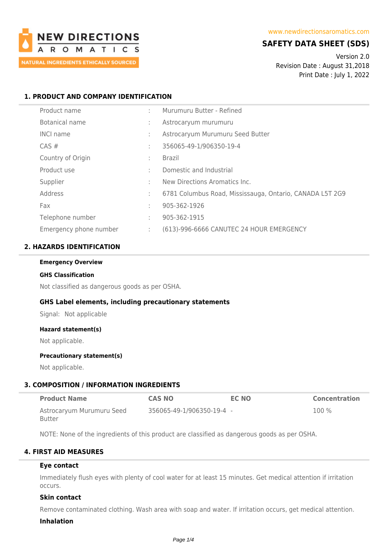

# **SAFETY DATA SHEET (SDS)**

Version 2.0 Revision Date : August 31,2018 Print Date : July 1, 2022

# **1. PRODUCT AND COMPANY IDENTIFICATION**

| Product name           | ٠. | Murumuru Butter - Refined                                |
|------------------------|----|----------------------------------------------------------|
| Botanical name         | ÷  | Astrocaryum murumuru                                     |
| <b>INCI name</b>       | ٠  | Astrocaryum Murumuru Seed Butter                         |
| $CAS \#$               | ÷  | 356065-49-1/906350-19-4                                  |
| Country of Origin      | ÷  | <b>Brazil</b>                                            |
| Product use            | ٠  | Domestic and Industrial                                  |
| Supplier               | ٠  | New Directions Aromatics Inc.                            |
| Address                | ÷  | 6781 Columbus Road, Mississauga, Ontario, CANADA L5T 2G9 |
| Fax                    | ٠  | 905-362-1926                                             |
| Telephone number       | ÷  | 905-362-1915                                             |
| Emergency phone number | ÷  | (613)-996-6666 CANUTEC 24 HOUR EMERGENCY                 |

# **2. HAZARDS IDENTIFICATION**

#### **Emergency Overview**

#### **GHS Classification**

Not classified as dangerous goods as per OSHA.

# **GHS Label elements, including precautionary statements**

Signal: Not applicable

#### **Hazard statement(s)**

Not applicable.

#### **Precautionary statement(s)**

Not applicable.

# **3. COMPOSITION / INFORMATION INGREDIENTS**

| <b>Product Name</b>       | <b>CAS NO</b>             | EC NO | <b>Concentration</b> |
|---------------------------|---------------------------|-------|----------------------|
| Astrocaryum Murumuru Seed | 356065-49-1/906350-19-4 - |       | $100\%$              |
| Butter                    |                           |       |                      |

NOTE: None of the ingredients of this product are classified as dangerous goods as per OSHA.

# **4. FIRST AID MEASURES**

# **Eye contact**

Immediately flush eyes with plenty of cool water for at least 15 minutes. Get medical attention if irritation occurs.

# **Skin contact**

Remove contaminated clothing. Wash area with soap and water. If irritation occurs, get medical attention.

### **Inhalation**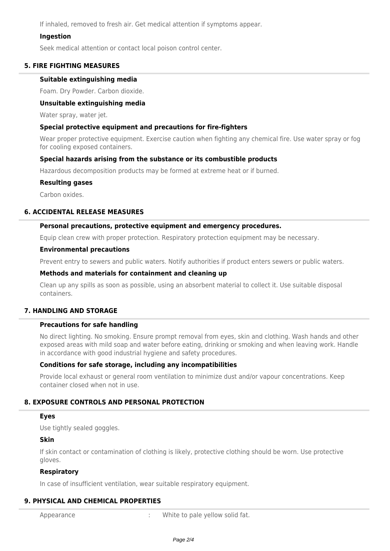If inhaled, removed to fresh air. Get medical attention if symptoms appear.

# **Ingestion**

Seek medical attention or contact local poison control center.

# **5. FIRE FIGHTING MEASURES**

# **Suitable extinguishing media**

Foam. Dry Powder. Carbon dioxide.

# **Unsuitable extinguishing media**

Water spray, water jet.

# **Special protective equipment and precautions for fire-fighters**

Wear proper protective equipment. Exercise caution when fighting any chemical fire. Use water spray or fog for cooling exposed containers.

# **Special hazards arising from the substance or its combustible products**

Hazardous decomposition products may be formed at extreme heat or if burned.

# **Resulting gases**

Carbon oxides.

# **6. ACCIDENTAL RELEASE MEASURES**

# **Personal precautions, protective equipment and emergency procedures.**

Equip clean crew with proper protection. Respiratory protection equipment may be necessary.

### **Environmental precautions**

Prevent entry to sewers and public waters. Notify authorities if product enters sewers or public waters.

### **Methods and materials for containment and cleaning up**

Clean up any spills as soon as possible, using an absorbent material to collect it. Use suitable disposal containers.

# **7. HANDLING AND STORAGE**

# **Precautions for safe handling**

No direct lighting. No smoking. Ensure prompt removal from eyes, skin and clothing. Wash hands and other exposed areas with mild soap and water before eating, drinking or smoking and when leaving work. Handle in accordance with good industrial hygiene and safety procedures.

# **Conditions for safe storage, including any incompatibilities**

Provide local exhaust or general room ventilation to minimize dust and/or vapour concentrations. Keep container closed when not in use.

# **8. EXPOSURE CONTROLS AND PERSONAL PROTECTION**

# **Eyes**

Use tightly sealed goggles.

# **Skin**

If skin contact or contamination of clothing is likely, protective clothing should be worn. Use protective gloves.

# **Respiratory**

In case of insufficient ventilation, wear suitable respiratory equipment.

# **9. PHYSICAL AND CHEMICAL PROPERTIES**

Appearance **in the summary control of the UP** in White to pale yellow solid fat.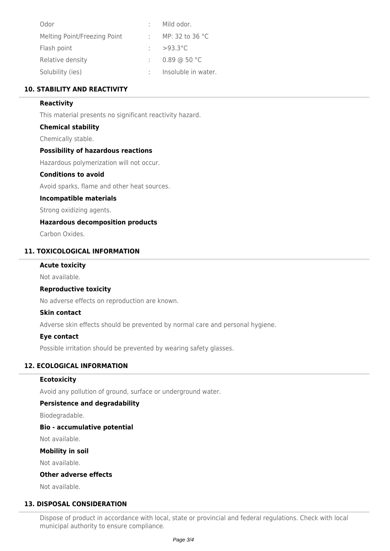| Odor                         | Mild odor.                |
|------------------------------|---------------------------|
| Melting Point/Freezing Point | MP: 32 to 36 $^{\circ}$ C |
| Flash point                  | : $>93.3^{\circ}$ C       |
| Relative density             | $0.89$ @ 50 °C            |
| Solubility (ies)             | Insoluble in water.       |

# **10. STABILITY AND REACTIVITY**

# **Reactivity**

This material presents no significant reactivity hazard.

# **Chemical stability**

Chemically stable.

# **Possibility of hazardous reactions**

Hazardous polymerization will not occur.

# **Conditions to avoid**

Avoid sparks, flame and other heat sources.

# **Incompatible materials**

Strong oxidizing agents.

# **Hazardous decomposition products**

Carbon Oxides.

# **11. TOXICOLOGICAL INFORMATION**

# **Acute toxicity**

Not available.

# **Reproductive toxicity**

No adverse effects on reproduction are known.

# **Skin contact**

Adverse skin effects should be prevented by normal care and personal hygiene.

#### **Eye contact**

Possible irritation should be prevented by wearing safety glasses.

# **12. ECOLOGICAL INFORMATION**

#### **Ecotoxicity**

Avoid any pollution of ground, surface or underground water.

# **Persistence and degradability**

Biodegradable.

# **Bio - accumulative potential**

Not available.

#### **Mobility in soil**

Not available.

### **Other adverse effects**

Not available.

# **13. DISPOSAL CONSIDERATION**

Dispose of product in accordance with local, state or provincial and federal regulations. Check with local municipal authority to ensure compliance.